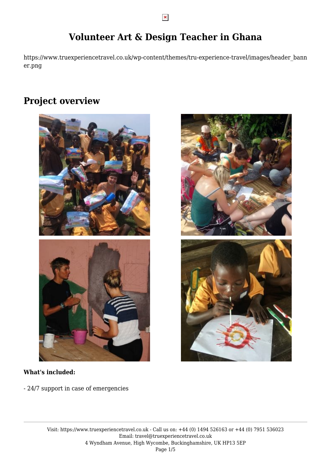# **Volunteer Art & Design Teacher in Ghana**

https://www.truexperiencetravel.co.uk/wp-content/themes/tru-experience-travel/images/header\_bann er.png

## **Project overview**



#### **What's included:**

- 24/7 support in case of emergencies



 $\pmb{\times}$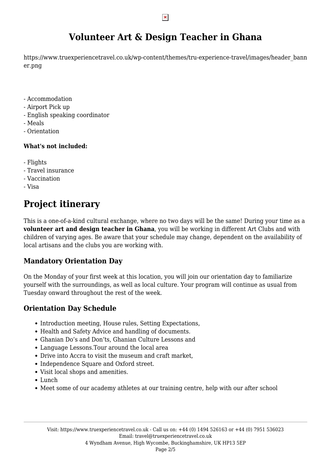# **Volunteer Art & Design Teacher in Ghana**

https://www.truexperiencetravel.co.uk/wp-content/themes/tru-experience-travel/images/header\_bann er.png

- Accommodation
- Airport Pick up
- English speaking coordinator
- Meals
- Orientation

#### **What's not included:**

- Flights
- Travel insurance
- Vaccination
- Visa

# **Project itinerary**

This is a one-of-a-kind cultural exchange, where no two days will be the same! During your time as a **volunteer art and design teacher in Ghana**, you will be working in different Art Clubs and with children of varying ages. Be aware that your schedule may change, dependent on the availability of local artisans and the clubs you are working with.

### **Mandatory Orientation Day**

On the Monday of your first week at this location, you will join our orientation day to familiarize yourself with the surroundings, as well as local culture. Your program will continue as usual from Tuesday onward throughout the rest of the week.

### **Orientation Day Schedule**

- Introduction meeting, House rules, Setting Expectations,
- Health and Safety Advice and handling of documents.
- Ghanian Do's and Don'ts, Ghanian Culture Lessons and
- Language Lessons.Tour around the local area
- Drive into Accra to visit the museum and craft market,
- Independence Square and Oxford street.
- Visit local shops and amenities.
- Lunch
- Meet some of our academy athletes at our training centre, help with our after school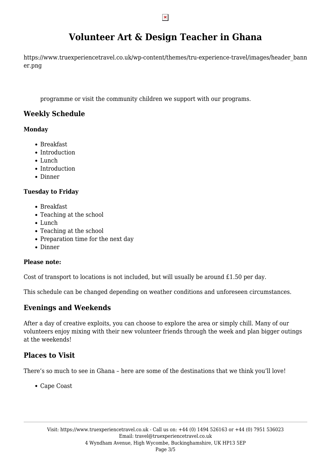# **Volunteer Art & Design Teacher in Ghana**

https://www.truexperiencetravel.co.uk/wp-content/themes/tru-experience-travel/images/header\_bann er.png

programme or visit the community children we support with our programs.

### **Weekly Schedule**

#### **Monday**

- Breakfast
- Introduction
- Lunch
- Introduction
- Dinner

### **Tuesday to Friday**

- Breakfast
- Teaching at the school
- Lunch
- Teaching at the school
- Preparation time for the next day
- Dinner

### **Please note:**

Cost of transport to locations is not included, but will usually be around £1.50 per day.

This schedule can be changed depending on weather conditions and unforeseen circumstances.

## **Evenings and Weekends**

After a day of creative exploits, you can choose to explore the area or simply chill. Many of our volunteers enjoy mixing with their new volunteer friends through the week and plan bigger outings at the weekends!

## **Places to Visit**

There's so much to see in Ghana – here are some of the destinations that we think you'll love!

Cape Coast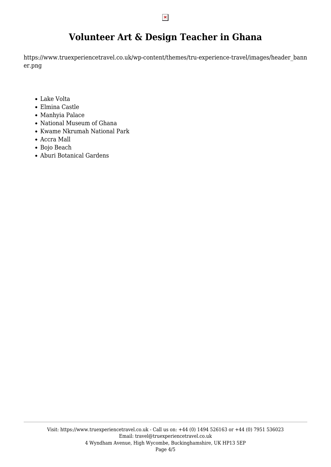## **Volunteer Art & Design Teacher in Ghana**

https://www.truexperiencetravel.co.uk/wp-content/themes/tru-experience-travel/images/header\_bann er.png

- Lake Volta
- Elmina Castle
- Manhyia Palace
- National Museum of Ghana
- Kwame Nkrumah National Park
- Accra Mall
- Bojo Beach
- Aburi Botanical Gardens